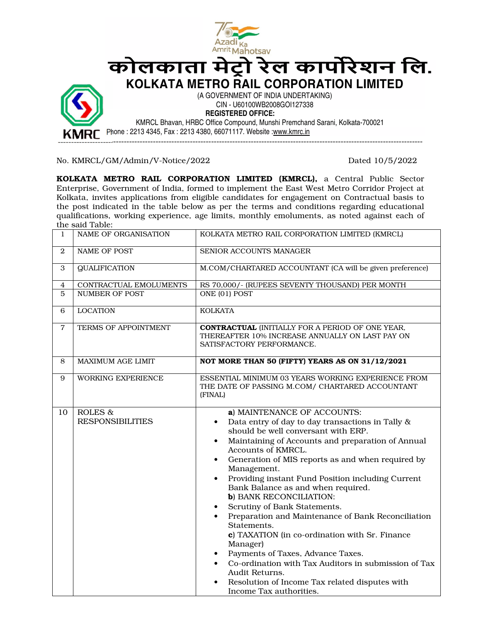

No. KMRCL/GM/Admin/V-Notice/2022 Dated 10/5/2022

KOLKATA METRO RAIL CORPORATION LIMITED (KMRCL), a Central Public Sector Enterprise, Government of India, formed to implement the East West Metro Corridor Project at Kolkata, invites applications from eligible candidates for engagement on Contractual basis to the post indicated in the table below as per the terms and conditions regarding educational qualifications, working experience, age limits, monthly emoluments, as noted against each of the said Table:

| $\mathbf{1}$   | NAME OF ORGANISATION               | KOLKATA METRO RAIL CORPORATION LIMITED (KMRCL)                                                                                                                                                                                                                                                                                                                                                                                                                                                                                                                                                                                                                                                                                                                                                                                                        |
|----------------|------------------------------------|-------------------------------------------------------------------------------------------------------------------------------------------------------------------------------------------------------------------------------------------------------------------------------------------------------------------------------------------------------------------------------------------------------------------------------------------------------------------------------------------------------------------------------------------------------------------------------------------------------------------------------------------------------------------------------------------------------------------------------------------------------------------------------------------------------------------------------------------------------|
| $\overline{2}$ | <b>NAME OF POST</b>                | SENIOR ACCOUNTS MANAGER                                                                                                                                                                                                                                                                                                                                                                                                                                                                                                                                                                                                                                                                                                                                                                                                                               |
| 3              | <b>QUALIFICATION</b>               | M.COM/CHARTARED ACCOUNTANT (CA will be given preference)                                                                                                                                                                                                                                                                                                                                                                                                                                                                                                                                                                                                                                                                                                                                                                                              |
| $\overline{4}$ | CONTRACTUAL EMOLUMENTS             | RS 70,000/- (RUPEES SEVENTY THOUSAND) PER MONTH                                                                                                                                                                                                                                                                                                                                                                                                                                                                                                                                                                                                                                                                                                                                                                                                       |
| 5              | <b>NUMBER OF POST</b>              | ONE (01) POST                                                                                                                                                                                                                                                                                                                                                                                                                                                                                                                                                                                                                                                                                                                                                                                                                                         |
| 6              | <b>LOCATION</b>                    | <b>KOLKATA</b>                                                                                                                                                                                                                                                                                                                                                                                                                                                                                                                                                                                                                                                                                                                                                                                                                                        |
| $\overline{7}$ | <b>TERMS OF APPOINTMENT</b>        | <b>CONTRACTUAL (INITIALLY FOR A PERIOD OF ONE YEAR,</b><br>THEREAFTER 10% INCREASE ANNUALLY ON LAST PAY ON<br>SATISFACTORY PERFORMANCE.                                                                                                                                                                                                                                                                                                                                                                                                                                                                                                                                                                                                                                                                                                               |
| 8              | MAXIMUM AGE LIMIT                  | NOT MORE THAN 50 (FIFTY) YEARS AS ON 31/12/2021                                                                                                                                                                                                                                                                                                                                                                                                                                                                                                                                                                                                                                                                                                                                                                                                       |
| 9              | WORKING EXPERIENCE                 | ESSENTIAL MINIMUM 03 YEARS WORKING EXPERIENCE FROM<br>THE DATE OF PASSING M.COM/ CHARTARED ACCOUNTANT<br>(FINAL)                                                                                                                                                                                                                                                                                                                                                                                                                                                                                                                                                                                                                                                                                                                                      |
| 10             | ROLES &<br><b>RESPONSIBILITIES</b> | a) MAINTENANCE OF ACCOUNTS:<br>Data entry of day to day transactions in Tally &<br>$\bullet$<br>should be well conversant with ERP.<br>Maintaining of Accounts and preparation of Annual<br>$\bullet$<br>Accounts of KMRCL.<br>Generation of MIS reports as and when required by<br>$\bullet$<br>Management.<br>Providing instant Fund Position including Current<br>$\bullet$<br>Bank Balance as and when required.<br>b) BANK RECONCILIATION:<br>Scrutiny of Bank Statements.<br>$\bullet$<br>Preparation and Maintenance of Bank Reconciliation<br>$\bullet$<br>Statements.<br>c) TAXATION (in co-ordination with Sr. Finance<br>Manager)<br>Payments of Taxes, Advance Taxes.<br>$\bullet$<br>Co-ordination with Tax Auditors in submission of Tax<br>Audit Returns.<br>Resolution of Income Tax related disputes with<br>Income Tax authorities. |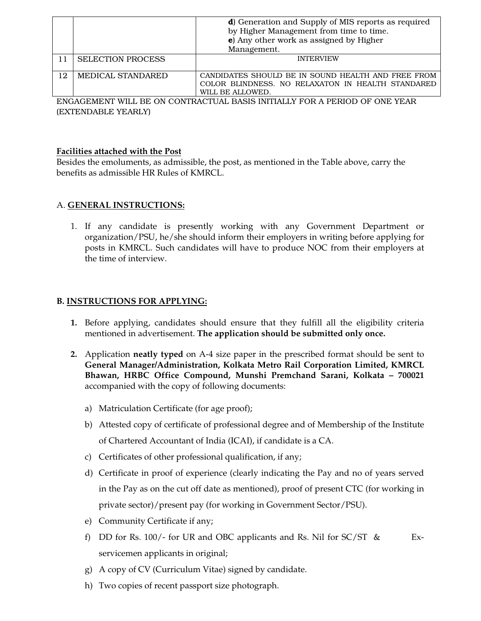|    |                          | <b>d</b> ) Generation and Supply of MIS reports as required                 |
|----|--------------------------|-----------------------------------------------------------------------------|
|    |                          | by Higher Management from time to time.                                     |
|    |                          | e) Any other work as assigned by Higher                                     |
|    |                          | Management.                                                                 |
| 11 | <b>SELECTION PROCESS</b> | <b>INTERVIEW</b>                                                            |
|    |                          |                                                                             |
| 12 | MEDICAL STANDARED        | CANDIDATES SHOULD BE IN SOUND HEALTH AND FREE FROM                          |
|    |                          | COLOR BLINDNESS. NO RELAXATON IN HEALTH STANDARED                           |
|    |                          | WILL BE ALLOWED.                                                            |
|    |                          | ENGAGEMENT WILL BE ON CONTRACTILAL BASIS INITIALLY FOR A PERIOD OF ONE YEAR |

ENGAGEMENT WILL BE ON CONTRACTUAL BASIS INITIALLY FOR A PERIOD OF ONE YEAR (EXTENDABLE YEARLY)

## **Facilities attached with the Post**

Besides the emoluments, as admissible, the post, as mentioned in the Table above, carry the benefits as admissible HR Rules of KMRCL.

## A. **GENERAL INSTRUCTIONS:**

1. If any candidate is presently working with any Government Department or organization/PSU, he/she should inform their employers in writing before applying for posts in KMRCL. Such candidates will have to produce NOC from their employers at the time of interview.

## **B. INSTRUCTIONS FOR APPLYING:**

- **1.** Before applying, candidates should ensure that they fulfill all the eligibility criteria mentioned in advertisement. **The application should be submitted only once.**
- **2.** Application **neatly typed** on A-4 size paper in the prescribed format should be sent to **General Manager/Administration, Kolkata Metro Rail Corporation Limited, KMRCL Bhawan, HRBC Office Compound, Munshi Premchand Sarani, Kolkata – 700021**  accompanied with the copy of following documents:
	- a) Matriculation Certificate (for age proof);
	- b) Attested copy of certificate of professional degree and of Membership of the Institute of Chartered Accountant of India (ICAI), if candidate is a CA.
	- c) Certificates of other professional qualification, if any;
	- d) Certificate in proof of experience (clearly indicating the Pay and no of years served in the Pay as on the cut off date as mentioned), proof of present CTC (for working in private sector)/present pay (for working in Government Sector/PSU).
	- e) Community Certificate if any;
	- f) DD for Rs. 100/- for UR and OBC applicants and Rs. Nil for  $SC/ST \& Ex$ servicemen applicants in original;
	- g) A copy of CV (Curriculum Vitae) signed by candidate.
	- h) Two copies of recent passport size photograph.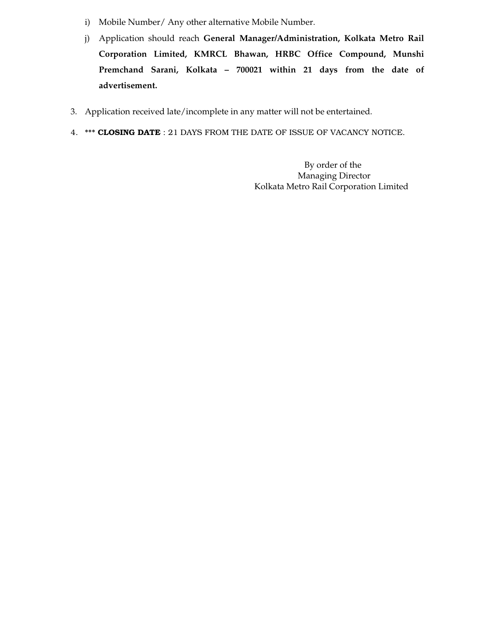- i) Mobile Number/ Any other alternative Mobile Number.
- j) Application should reach **General Manager/Administration, Kolkata Metro Rail Corporation Limited, KMRCL Bhawan, HRBC Office Compound, Munshi Premchand Sarani, Kolkata – 700021 within 21 days from the date of advertisement.**
- 3. Application received late/incomplete in any matter will not be entertained.
- 4. \*\*\* **CLOSING DATE** : 21 DAYS FROM THE DATE OF ISSUE OF VACANCY NOTICE.

 By order of the Managing Director Kolkata Metro Rail Corporation Limited